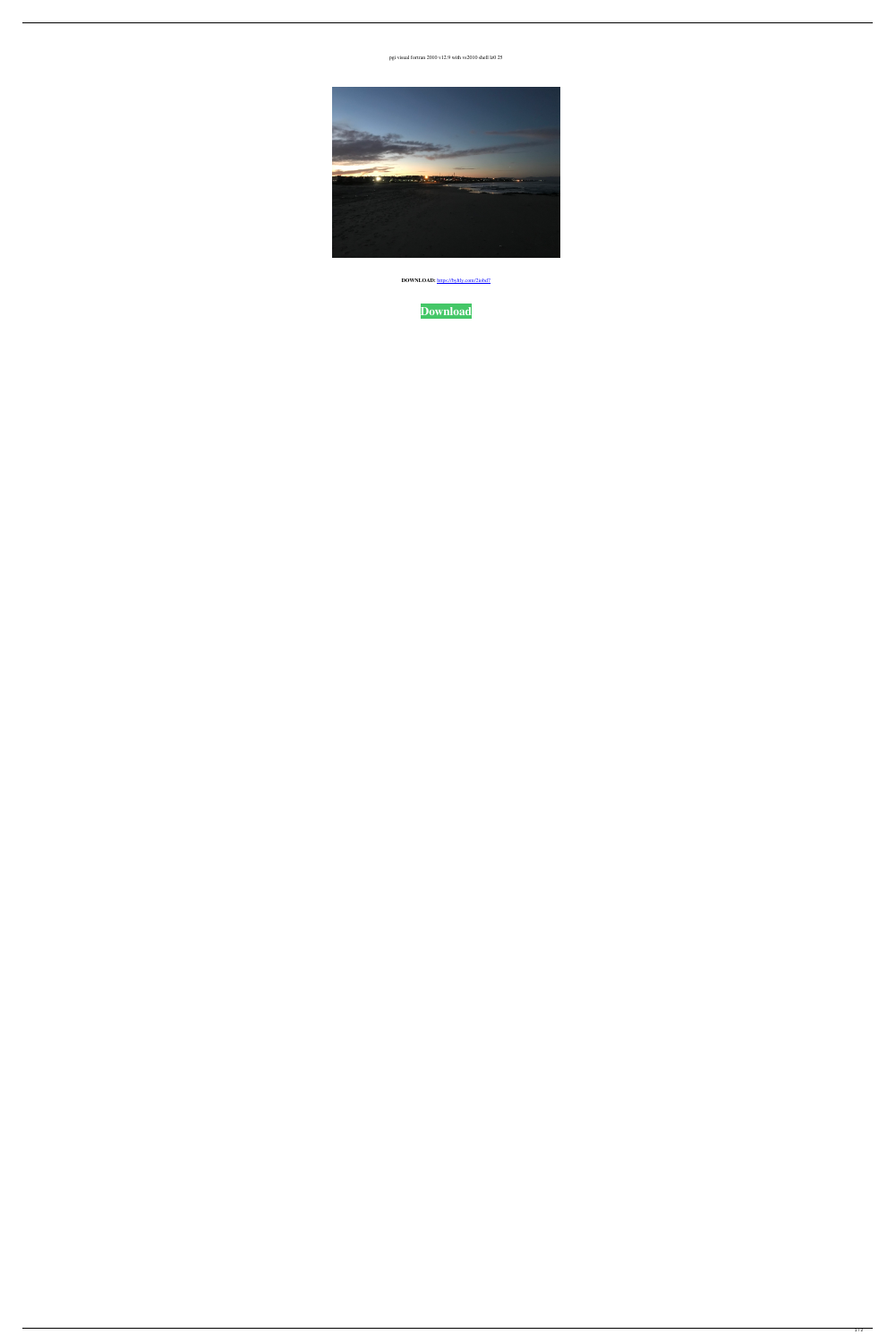

DOWNLOAD: https://byltly.com/2iobd7



pgi visual fortran 2010 v12.9 with vs2010 shell lz0 25